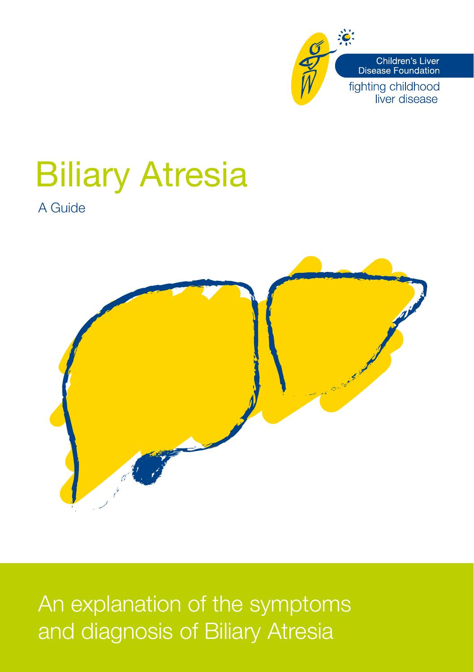

# Biliary Atresia

A Guide



An explanation of the symptoms and diagnosis of Biliary Atresia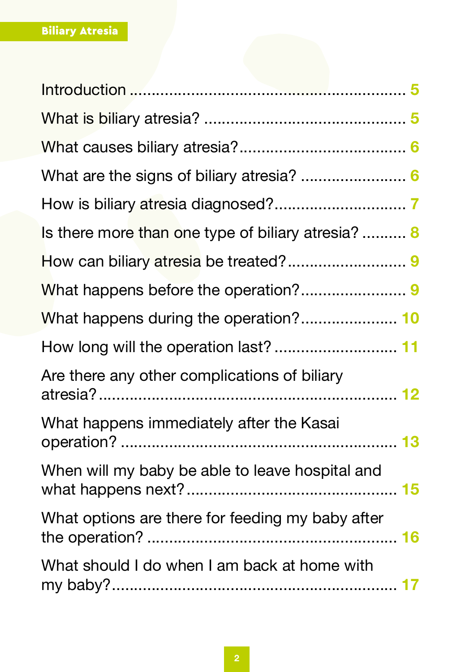| Is there more than one type of biliary atresia?  8 |
|----------------------------------------------------|
|                                                    |
|                                                    |
|                                                    |
| How long will the operation last?  11              |
| Are there any other complications of biliary       |
| What happens immediately after the Kasai           |
| When will my baby be able to leave hospital and    |
| What options are there for feeding my baby after   |
| What should I do when I am back at home with       |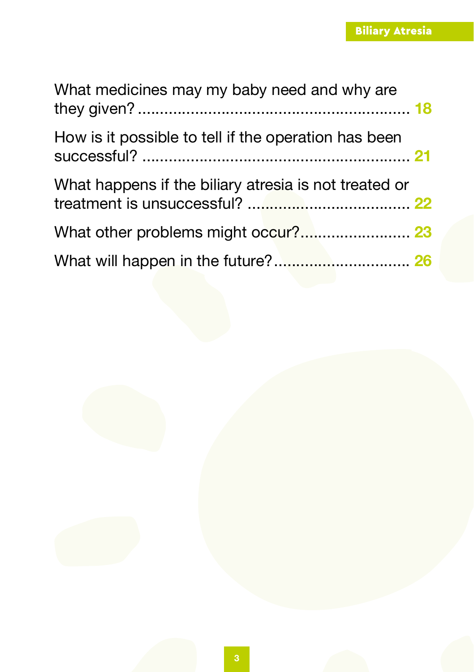| What medicines may my baby need and why are           |  |
|-------------------------------------------------------|--|
| How is it possible to tell if the operation has been  |  |
| What happens if the biliary atresia is not treated or |  |
|                                                       |  |
|                                                       |  |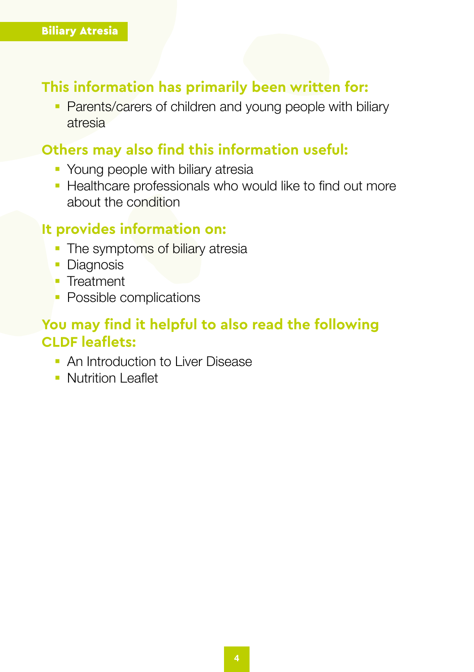#### **This information has primarily been written for:**

• Parents/carers of children and young people with biliary atresia

#### **Others may also find this information useful:**

- Young people with biliary atresia
- Healthcare professionals who would like to find out more about the condition

#### **It provides information on:**

- The symptoms of biliary atresia
- Diagnosis
- Treatment
- **Possible complications**

### **You may find it helpful to also read the following CLDF leaflets:**

- § An Introduction to Liver Disease
- § Nutrition Leaflet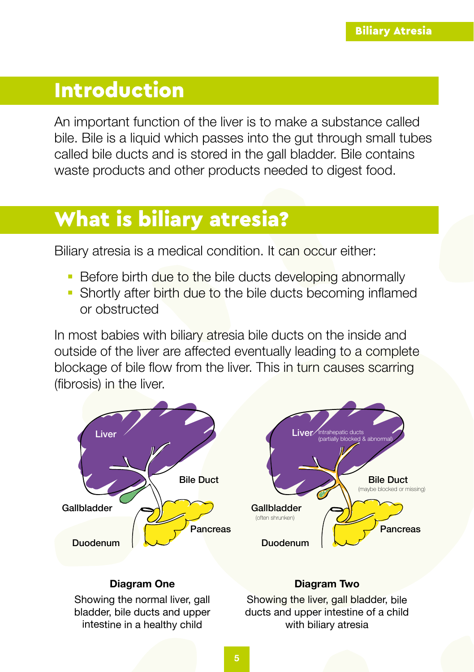### <span id="page-4-0"></span>Introduction

An important function of the liver is to make a substance called bile. Bile is a liquid which passes into the gut through small tubes called bile ducts and is stored in the gall bladder. Bile contains waste products and other products needed to digest food.

### What is biliary atresia?

Biliary atresia is a medical condition. It can occur either:

- Before birth due to the bile ducts developing abnormally
- Shortly after birth due to the bile ducts becoming inflamed or obstructed

In most babies with biliary atresia bile ducts on the inside and outside of the liver are affected eventually leading to a complete blockage of bile flow from the liver. This in turn causes scarring (fibrosis) in the liver.



#### **Diagram One**

Showing the normal liver, gall bladder, bile ducts and upper intestine in a healthy child

#### **Diagram Two**

Showing the liver, gall bladder, bile ducts and upper intestine of a child with biliary atresia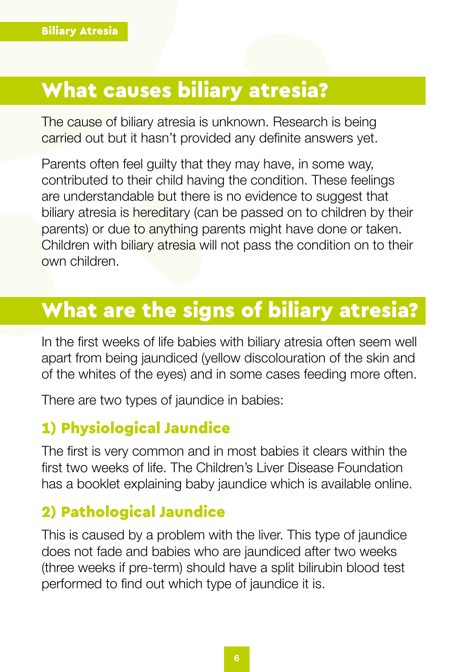### <span id="page-5-0"></span>What causes biliary atresia?

The cause of biliary atresia is unknown. Research is being carried out but it hasn't provided any definite answers yet.

Parents often feel guilty that they may have, in some way, contributed to their child having the condition. These feelings are understandable but there is no evidence to suggest that biliary atresia is hereditary (can be passed on to children by their parents) or due to anything parents might have done or taken. Children with biliary atresia will not pass the condition on to their own children.

### What are the signs of biliary atresia?

In the first weeks of life babies with biliary atresia often seem well apart from being jaundiced (yellow discolouration of the skin and of the whites of the eyes) and in some cases feeding more often.

There are two types of jaundice in babies:

### 1) Physiological Jaundice

The first is very common and in most babies it clears within the first two weeks of life. The Children's Liver Disease Foundation has a booklet explaining baby jaundice which is available online.

### 2) Pathological Jaundice

This is caused by a problem with the liver. This type of jaundice does not fade and babies who are jaundiced after two weeks (three weeks if pre-term) should have a split bilirubin blood test performed to find out which type of jaundice it is.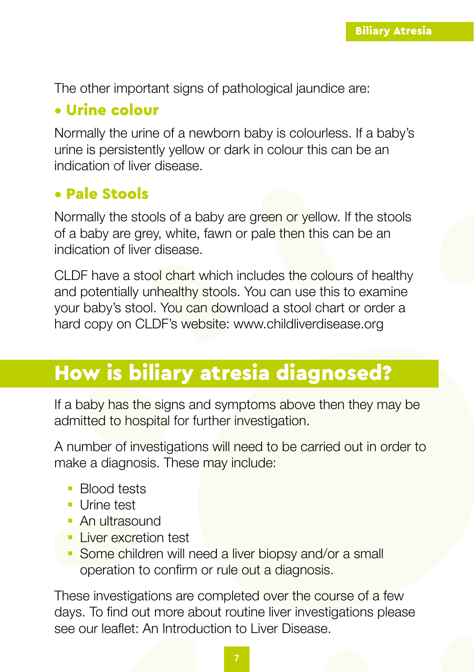<span id="page-6-0"></span>The other important signs of pathological jaundice are:

### • Urine colour

Normally the urine of a newborn baby is colourless. If a baby's urine is persistently yellow or dark in colour this can be an indication of liver disease.

### • Pale Stools

Normally the stools of a baby are green or yellow. If the stools of a baby are grey, white, fawn or pale then this can be an indication of liver disease.

CLDF have a stool chart which includes the colours of healthy and potentially unhealthy stools. You can use this to examine your baby's stool. You can download a stool chart or order a hard copy on CLDF's website: www.childliverdisease.org

### How is biliary atresia diagnosed?

If a baby has the signs and symptoms above then they may be admitted to hospital for further investigation.

A number of investigations will need to be carried out in order to make a diagnosis. These may include:

- Blood tests
- Urine test
- § An ultrasound
- **Liver excretion test**
- Some children will need a liver biopsy and/or a small operation to confirm or rule out a diagnosis.

These investigations are completed over the course of a few days. To find out more about routine liver investigations please see our leaflet: An Introduction to Liver Disease.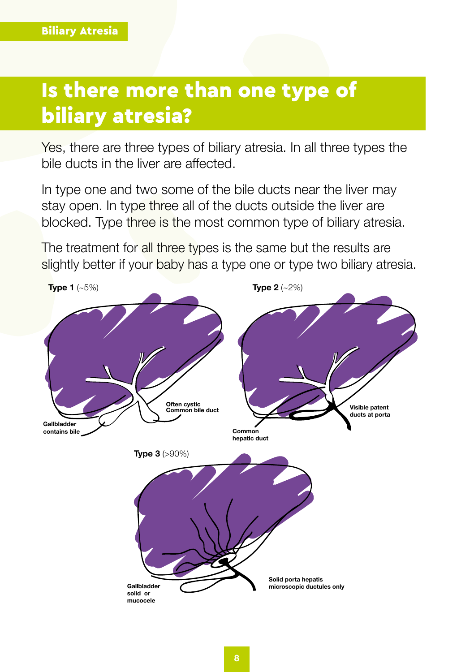### <span id="page-7-0"></span>Is there more than one type of biliary atresia?

Yes, there are three types of biliary atresia. In all three types the bile ducts in the liver are affected.

In type one and two some of the bile ducts near the liver may stay open. In type three all of the ducts outside the liver are blocked. Type three is the most common type of biliary atresia.

The treatment for all three types is the same but the results are slightly better if your baby has a type one or type two biliary atresia.

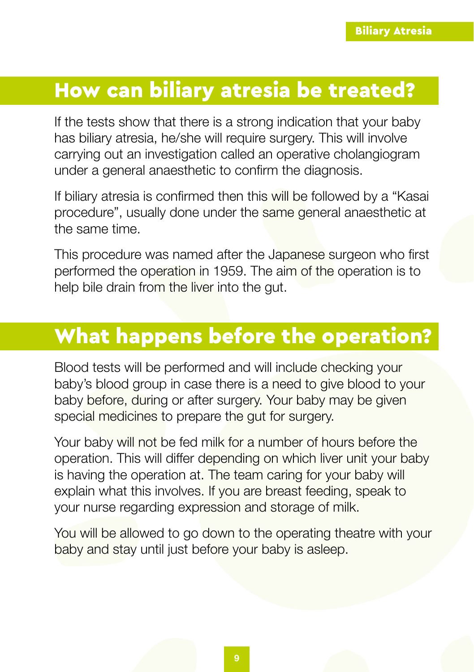### <span id="page-8-0"></span>How can biliary atresia be treated?

If the tests show that there is a strong indication that your baby has biliary atresia, he/she will require surgery. This will involve carrying out an investigation called an operative cholangiogram under a general anaesthetic to confirm the diagnosis.

If biliary atresia is confirmed then this will be followed by a "Kasai procedure", usually done under the same general anaesthetic at the same time.

This procedure was named after the Japanese surgeon who first performed the operation in 1959. The aim of the operation is to help bile drain from the liver into the gut.

# What happens before the operation?

Blood tests will be performed and will include checking your baby's blood group in case there is a need to give blood to your baby before, during or after surgery. Your baby may be given special medicines to prepare the gut for surgery.

Your baby will not be fed milk for a number of hours before the operation. This will differ depending on which liver unit your baby is having the operation at. The team caring for your baby will explain what this involves. If you are breast feeding, speak to your nurse regarding expression and storage of milk.

You will be allowed to go down to the operating theatre with your baby and stay until just before your baby is asleep.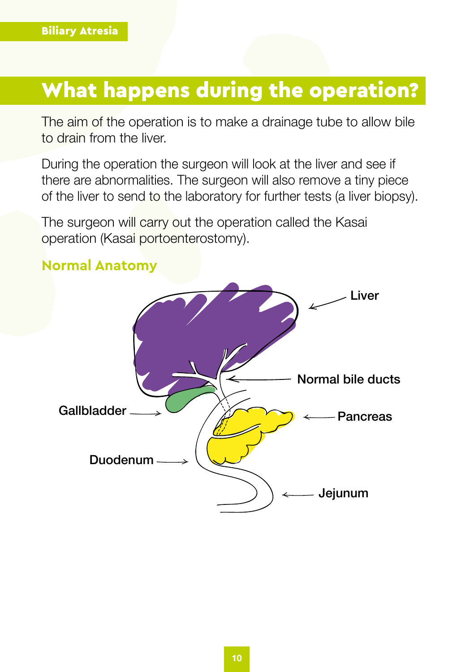## <span id="page-9-0"></span>What happens during the operation?

The aim of the operation is to make a drainage tube to allow bile to drain from the liver.

During the operation the surgeon will look at the liver and see if there are abnormalities. The surgeon will also remove a tiny piece of the liver to send to the laboratory for further tests (a liver biopsy).

The surgeon will carry out the operation called the Kasai operation (Kasai portoenterostomy).



#### **Normal Anatomy**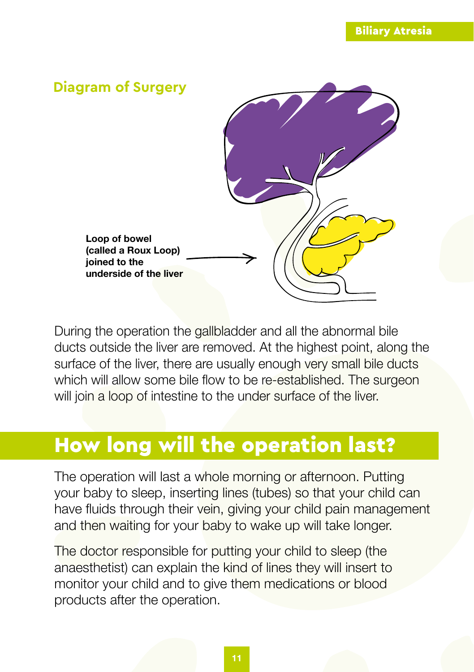<span id="page-10-0"></span>

During the operation the gallbladder and all the abnormal bile ducts outside the liver are removed. At the highest point, along the surface of the liver, there are usually enough very small bile ducts which will allow some bile flow to be re-established. The surgeon will join a loop of intestine to the under surface of the liver.

# How long will the operation last?

The operation will last a whole morning or afternoon. Putting your baby to sleep, inserting lines (tubes) so that your child can have fluids through their vein, giving your child pain management and then waiting for your baby to wake up will take longer.

The doctor responsible for putting your child to sleep (the anaesthetist) can explain the kind of lines they will insert to monitor your child and to give them medications or blood products after the operation.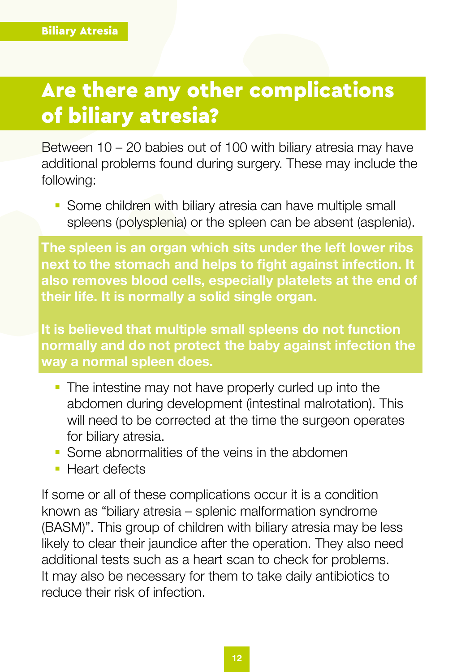# <span id="page-11-0"></span>Are there any other complications of biliary atresia?

Between 10 – 20 babies out of 100 with biliary atresia may have additional problems found during surgery. These may include the following:

• Some children with biliary atresia can have multiple small spleens (polysplenia) or the spleen can be absent (asplenia).

**The spleen is an organ which sits under the left lower ribs next to the stomach and helps to fight against infection. It also removes blood cells, especially platelets at the end of their life. It is normally a solid single organ.**

**It is believed that multiple small spleens do not function normally and do not protect the baby against infection the way a normal spleen does.** 

- The intestine may not have properly curled up into the abdomen during development (intestinal malrotation). This will need to be corrected at the time the surgeon operates for biliary atresia.
- § Some abnormalities of the veins in the abdomen
- Heart defects

If some or all of these complications occur it is a condition known as "biliary atresia – splenic malformation syndrome (BASM)". This group of children with biliary atresia may be less likely to clear their jaundice after the operation. They also need additional tests such as a heart scan to check for problems. It may also be necessary for them to take daily antibiotics to reduce their risk of infection.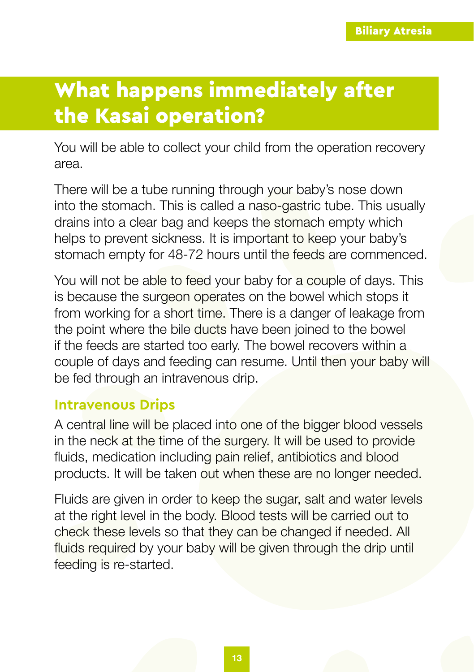# <span id="page-12-0"></span>What happens immediately after the Kasai operation?

You will be able to collect your child from the operation recovery area.

There will be a tube running through your baby's nose down into the stomach. This is called a naso-gastric tube. This usually drains into a clear bag and keeps the stomach empty which helps to prevent sickness. It is important to keep your baby's stomach empty for 48-72 hours until the feeds are commenced.

You will not be able to feed your baby for a couple of days. This is because the surgeon operates on the bowel which stops it from working for a short time. There is a danger of leakage from the point where the bile ducts have been joined to the bowel if the feeds are started too early. The bowel recovers within a couple of days and feeding can resume. Until then your baby will be fed through an intravenous drip.

#### **Intravenous Drips**

A central line will be placed into one of the bigger blood vessels in the neck at the time of the surgery. It will be used to provide fluids, medication including pain relief, antibiotics and blood products. It will be taken out when these are no longer needed.

Fluids are given in order to keep the sugar, salt and water levels at the right level in the body. Blood tests will be carried out to check these levels so that they can be changed if needed. All fluids required by your baby will be given through the drip until feeding is re-started.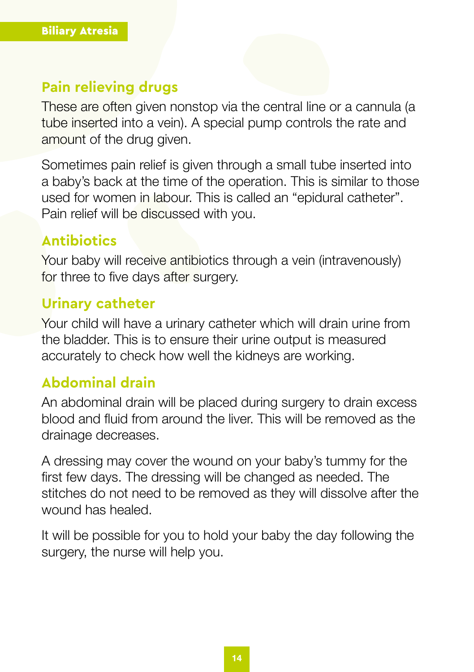#### **Pain relieving drugs**

These are often given nonstop via the central line or a cannula (a tube inserted into a vein). A special pump controls the rate and amount of the drug given.

Sometimes pain relief is given through a small tube inserted into a baby's back at the time of the operation. This is similar to those used for women in labour. This is called an "epidural catheter". Pain relief will be discussed with you.

#### **Antibiotics**

Your baby will receive antibiotics through a vein (intravenously) for three to five days after surgery.

#### **Urinary catheter**

Your child will have a urinary catheter which will drain urine from the bladder. This is to ensure their urine output is measured accurately to check how well the kidneys are working.

#### **Abdominal drain**

An abdominal drain will be placed during surgery to drain excess blood and fluid from around the liver. This will be removed as the drainage decreases.

A dressing may cover the wound on your baby's tummy for the first few days. The dressing will be changed as needed. The stitches do not need to be removed as they will dissolve after the wound has healed.

It will be possible for you to hold your baby the day following the surgery, the nurse will help you.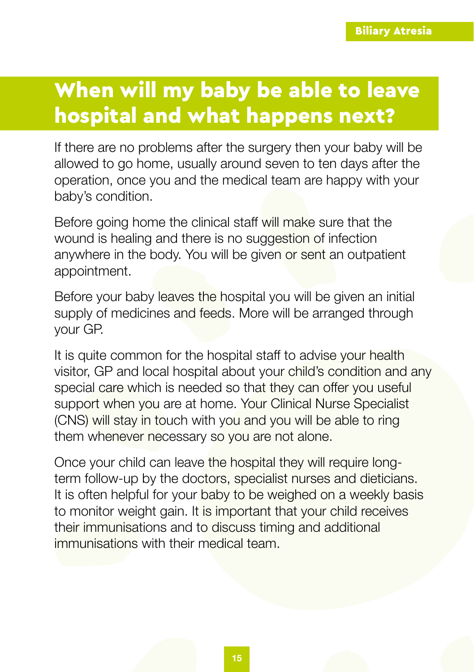# <span id="page-14-0"></span>When will my baby be able to leave hospital and what happens next?

If there are no problems after the surgery then your baby will be allowed to go home, usually around seven to ten days after the operation, once you and the medical team are happy with your baby's condition.

Before going home the clinical staff will make sure that the wound is healing and there is no suggestion of infection anywhere in the body. You will be given or sent an outpatient appointment.

Before your baby leaves the hospital you will be given an initial supply of medicines and feeds. More will be arranged through your GP.

It is quite common for the hospital staff to advise your health visitor, GP and local hospital about your child's condition and any special care which is needed so that they can offer you useful support when you are at home. Your Clinical Nurse Specialist (CNS) will stay in touch with you and you will be able to ring them whenever necessary so you are not alone.

Once your child can leave the hospital they will require longterm follow-up by the doctors, specialist nurses and dieticians. It is often helpful for your baby to be weighed on a weekly basis to monitor weight gain. It is important that your child receives their immunisations and to discuss timing and additional immunisations with their medical team.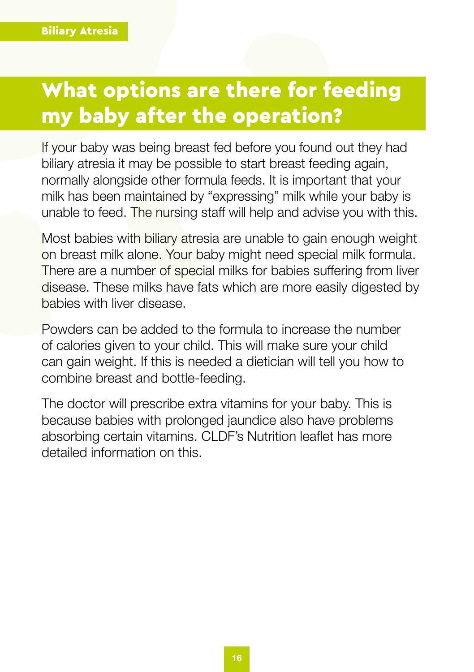# <span id="page-15-0"></span>What options are there for feeding my baby after the operation?

If your baby was being breast fed before you found out they had biliary atresia it may be possible to start breast feeding again, normally alongside other formula feeds. It is important that your milk has been maintained by "expressing" milk while your baby is unable to feed. The nursing staff will help and advise you with this.

Most babies with biliary atresia are unable to gain enough weight on breast milk alone. Your baby might need special milk formula. There are a number of special milks for babies suffering from liver disease. These milks have fats which are more easily digested by babies with liver disease.

Powders can be added to the formula to increase the number of calories given to your child. This will make sure your child can gain weight. If this is needed a dietician will tell you how to combine breast and bottle-feeding.

The doctor will prescribe extra vitamins for your baby. This is because babies with prolonged jaundice also have problems absorbing certain vitamins. CLDF's Nutrition leaflet has more detailed information on this.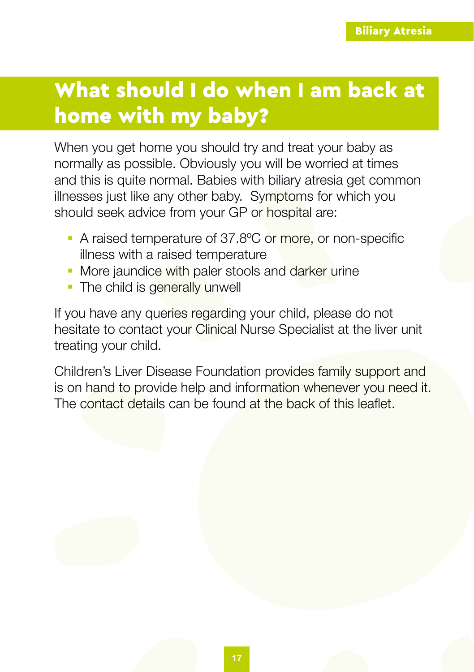# <span id="page-16-0"></span>What should I do when I am back at home with my baby?

When you get home you should try and treat your baby as normally as possible. Obviously you will be worried at times and this is quite normal. Babies with biliary atresia get common illnesses just like any other baby. Symptoms for which you should seek advice from your GP or hospital are:

- A raised temperature of 37.8°C or more, or non-specific illness with a raised temperature
- More jaundice with paler stools and darker urine
- The child is generally unwell

If you have any queries regarding your child, please do not hesitate to contact your Clinical Nurse Specialist at the liver unit treating your child.

Children's Liver Disease Foundation provides family support and is on hand to provide help and information whenever you need it. The contact details can be found at the back of this leaflet.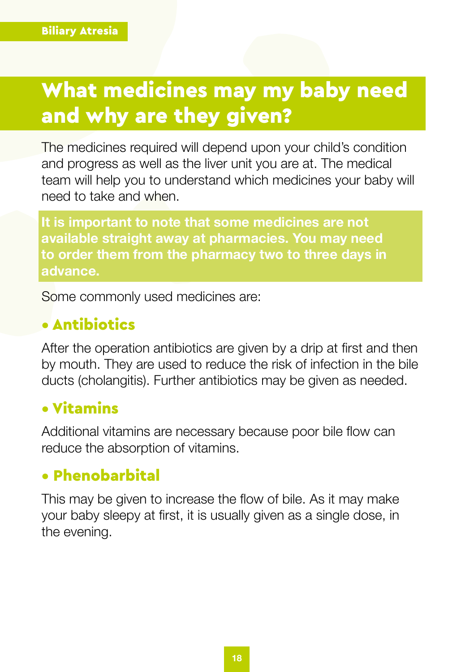# <span id="page-17-0"></span>What medicines may my baby need and why are they given?

The medicines required will depend upon your child's condition and progress as well as the liver unit you are at. The medical team will help you to understand which medicines your baby will need to take and when.

**It is important to note that some medicines are not available straight away at pharmacies. You may need to order them from the pharmacy two to three days in advance.** 

Some commonly used medicines are:

### • Antibiotics

After the operation antibiotics are given by a drip at first and then by mouth. They are used to reduce the risk of infection in the bile ducts (cholangitis). Further antibiotics may be given as needed.

### • Vitamins

Additional vitamins are necessary because poor bile flow can reduce the absorption of vitamins.

### • Phenobarbital

This may be given to increase the flow of bile. As it may make your baby sleepy at first, it is usually given as a single dose, in the evening.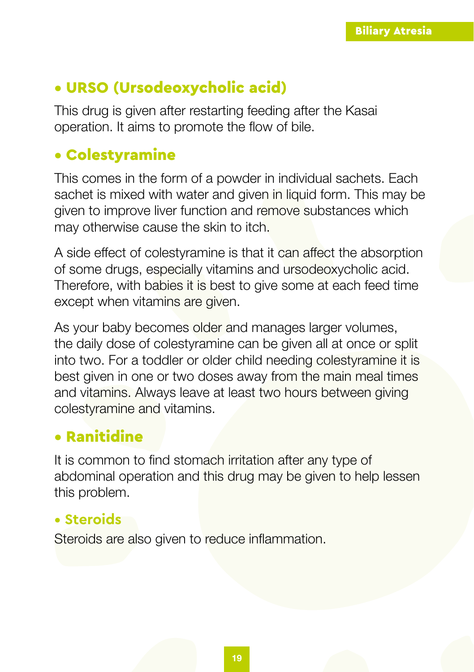### • URSO (Ursodeoxycholic acid)

This drug is given after restarting feeding after the Kasai operation. It aims to promote the flow of bile.

### • Colestyramine

This comes in the form of a powder in individual sachets. Each sachet is mixed with water and given in liquid form. This may be given to improve liver function and remove substances which may otherwise cause the skin to itch.

A side effect of colestyramine is that it can affect the absorption of some drugs, especially vitamins and ursodeoxycholic acid. Therefore, with babies it is best to give some at each feed time except when vitamins are given.

As your baby becomes older and manages larger volumes, the daily dose of colestyramine can be given all at once or split into two. For a toddler or older child needing colestyramine it is best given in one or two doses away from the main meal times and vitamins. Always leave at least two hours between giving colestyramine and vitamins.

### • Ranitidine

It is common to find stomach irritation after any type of abdominal operation and this drug may be given to help lessen this problem.

### **• Steroids**

Steroids are also given to reduce inflammation.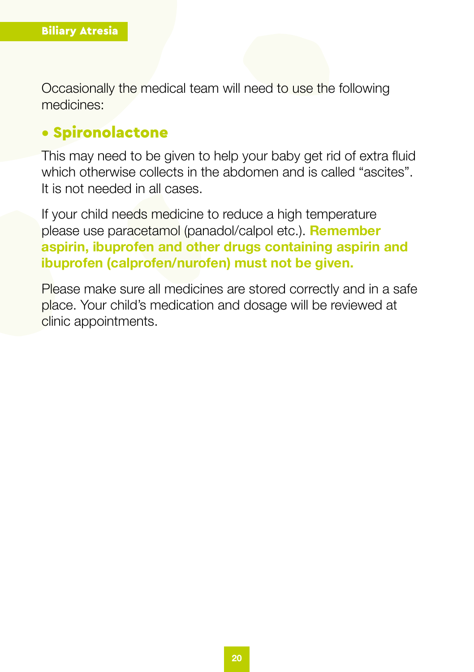Occasionally the medical team will need to use the following medicines:

#### • Spironolactone

This may need to be given to help your baby get rid of extra fluid which otherwise collects in the abdomen and is called "ascites". It is not needed in all cases.

If your child needs medicine to reduce a high temperature please use paracetamol (panadol/calpol etc.). **Remember aspirin, ibuprofen and other drugs containing aspirin and ibuprofen (calprofen/nurofen) must not be given.**

Please make sure all medicines are stored correctly and in a safe place. Your child's medication and dosage will be reviewed at clinic appointments.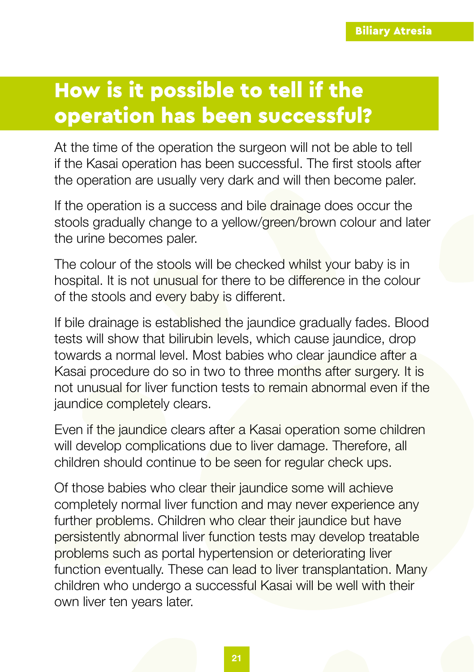# <span id="page-20-0"></span>How is it possible to tell if the operation has been successful?

At the time of the operation the surgeon will not be able to tell if the Kasai operation has been successful. The first stools after the operation are usually very dark and will then become paler.

If the operation is a success and bile drainage does occur the stools gradually change to a yellow/green/brown colour and later the urine becomes paler.

The colour of the stools will be checked whilst your baby is in hospital. It is not unusual for there to be difference in the colour of the stools and every baby is different.

If bile drainage is established the jaundice gradually fades. Blood tests will show that bilirubin levels, which cause jaundice, drop towards a normal level. Most babies who clear jaundice after a Kasai procedure do so in two to three months after surgery. It is not unusual for liver function tests to remain abnormal even if the jaundice completely clears.

Even if the jaundice clears after a Kasai operation some children will develop complications due to liver damage. Therefore, all children should continue to be seen for regular check ups.

Of those babies who clear their jaundice some will achieve completely normal liver function and may never experience any further problems. Children who clear their jaundice but have persistently abnormal liver function tests may develop treatable problems such as portal hypertension or deteriorating liver function eventually. These can lead to liver transplantation. Many children who undergo a successful Kasai will be well with their own liver ten years later.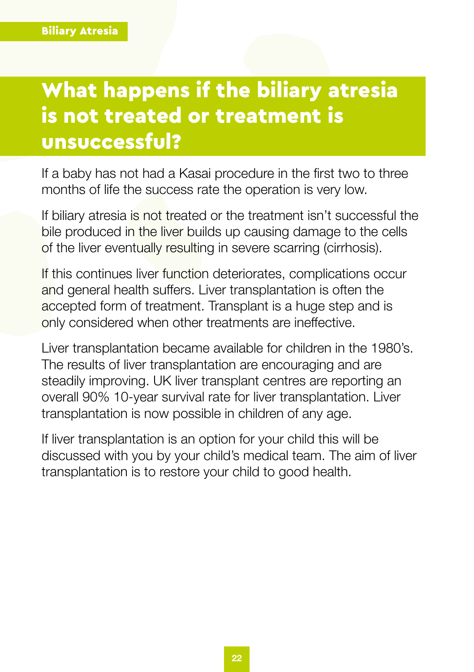# <span id="page-21-0"></span>What happens if the biliary atresia is not treated or treatment is unsuccessful?

If a baby has not had a Kasai procedure in the first two to three months of life the success rate the operation is very low.

If biliary atresia is not treated or the treatment isn't successful the bile produced in the liver builds up causing damage to the cells of the liver eventually resulting in severe scarring (cirrhosis).

If this continues liver function deteriorates, complications occur and general health suffers. Liver transplantation is often the accepted form of treatment. Transplant is a huge step and is only considered when other treatments are ineffective.

Liver transplantation became available for children in the 1980's. The results of liver transplantation are encouraging and are steadily improving. UK liver transplant centres are reporting an overall 90% 10-year survival rate for liver transplantation. Liver transplantation is now possible in children of any age.

If liver transplantation is an option for your child this will be discussed with you by your child's medical team. The aim of liver transplantation is to restore your child to good health.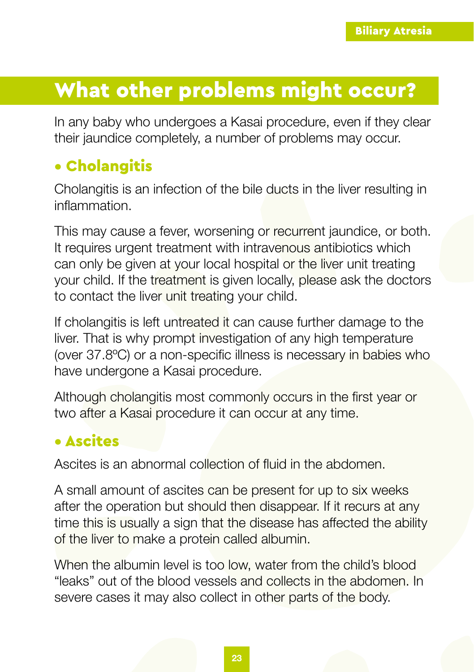# <span id="page-22-0"></span>What other problems might occur?

In any baby who undergoes a Kasai procedure, even if they clear their jaundice completely, a number of problems may occur.

### • Cholangitis

Cholangitis is an infection of the bile ducts in the liver resulting in inflammation.

This may cause a fever, worsening or recurrent jaundice, or both. It requires urgent treatment with intravenous antibiotics which can only be given at your local hospital or the liver unit treating your child. If the treatment is given locally, please ask the doctors to contact the liver unit treating your child.

If cholangitis is left untreated it can cause further damage to the liver. That is why prompt investigation of any high temperature (over 37.8ºC) or a non-specific illness is necessary in babies who have undergone a Kasai procedure.

Although cholangitis most commonly occurs in the first year or two after a Kasai procedure it can occur at any time.

### • Ascites

Ascites is an abnormal collection of fluid in the abdomen.

A small amount of ascites can be present for up to six weeks after the operation but should then disappear. If it recurs at any time this is usually a sign that the disease has affected the ability of the liver to make a protein called albumin.

When the albumin level is too low, water from the child's blood "leaks" out of the blood vessels and collects in the abdomen. In severe cases it may also collect in other parts of the body.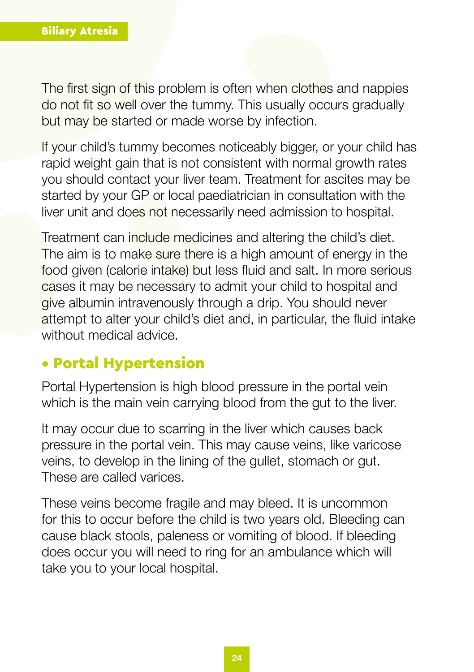The first sign of this problem is often when clothes and nappies do not fit so well over the tummy. This usually occurs gradually but may be started or made worse by infection.

If your child's tummy becomes noticeably bigger, or your child has rapid weight gain that is not consistent with normal growth rates you should contact your liver team. Treatment for ascites may be started by your GP or local paediatrician in consultation with the liver unit and does not necessarily need admission to hospital.

Treatment can include medicines and altering the child's diet. The aim is to make sure there is a high amount of energy in the food given (calorie intake) but less fluid and salt. In more serious cases it may be necessary to admit your child to hospital and give albumin intravenously through a drip. You should never attempt to alter your child's diet and, in particular, the fluid intake without medical advice.

#### • Portal Hypertension

Portal Hypertension is high blood pressure in the portal vein which is the main vein carrying blood from the gut to the liver.

It may occur due to scarring in the liver which causes back pressure in the portal vein. This may cause veins, like varicose veins, to develop in the lining of the gullet, stomach or gut. These are called varices.

These veins become fragile and may bleed. It is uncommon for this to occur before the child is two years old. Bleeding can cause black stools, paleness or vomiting of blood. If bleeding does occur you will need to ring for an ambulance which will take you to your local hospital.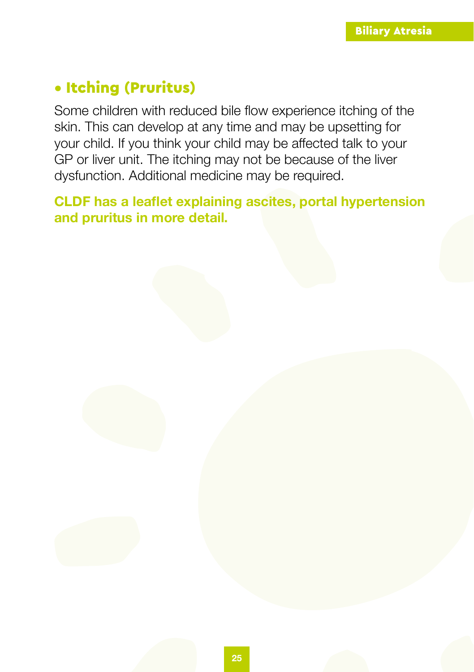### • Itching (Pruritus)

Some children with reduced bile flow experience itching of the skin. This can develop at any time and may be upsetting for your child. If you think your child may be affected talk to your GP or liver unit. The itching may not be because of the liver dysfunction. Additional medicine may be required.

**CLDF has a leaflet explaining ascites, portal hypertension and pruritus in more detail.**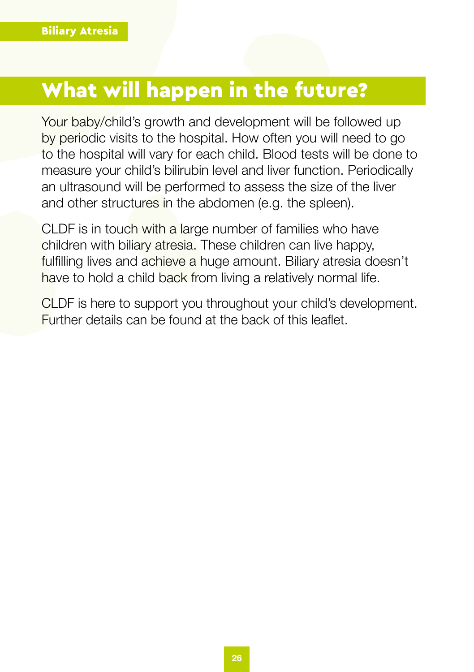# <span id="page-25-0"></span>What will happen in the future?

Your baby/child's growth and development will be followed up by periodic visits to the hospital. How often you will need to go to the hospital will vary for each child. Blood tests will be done to measure your child's bilirubin level and liver function. Periodically an ultrasound will be performed to assess the size of the liver and other structures in the abdomen (e.g. the spleen).

CLDF is in touch with a large number of families who have children with biliary atresia. These children can live happy, fulfilling lives and achieve a huge amount. Biliary atresia doesn't have to hold a child back from living a relatively normal life.

CLDF is here to support you throughout your child's development. Further details can be found at the back of this leaflet.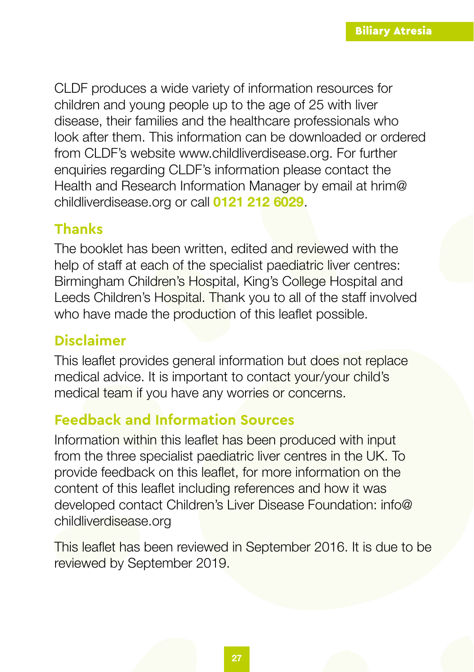CLDF produces a wide variety of information resources for children and young people up to the age of 25 with liver disease, their families and the healthcare professionals who look after them. This information can be downloaded or ordered from CLDF's website www.childliverdisease.org. For further enquiries regarding CLDF's information please contact the Health and Research Information Manager by email at hrim@ childliverdisease.org or call **0121 212 6029**.

### **Thanks**

The booklet has been written, edited and reviewed with the help of staff at each of the specialist paediatric liver centres: Birmingham Children's Hospital, King's College Hospital and Leeds Children's Hospital. Thank you to all of the staff involved who have made the production of this leaflet possible.

#### **Disclaimer**

This leaflet provides general information but does not replace medical advice. It is important to contact your/your child's medical team if you have any worries or concerns.

### **Feedback and Information Sources**

Information within this leaflet has been produced with input from the three specialist paediatric liver centres in the UK. To provide feedback on this leaflet, for more information on the content of this leaflet including references and how it was developed contact Children's Liver Disease Foundation: info@ childliverdisease.org

This leaflet has been reviewed in September 2016. It is due to be reviewed by September 2019.